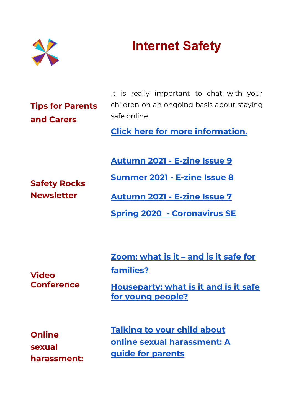

## **Internet Safety**

**Tips for Parents and Carers**

It is really [important](https://www.saferinternet.org.uk/advice-centre/parents-and-carers/have-conversation) to chat with your children on an [ongoing](https://www.saferinternet.org.uk/advice-centre/parents-and-carers/have-conversation) basis about staying safe [online.](https://www.saferinternet.org.uk/advice-centre/parents-and-carers/have-conversation)

**Click here for more [information.](https://www.saferinternet.org.uk/advice-centre/parents-and-carers/have-conversation)**

**[Autumn](https://www.safety-net.org.uk/wp-content/uploads/2021/06/Issue-Nine-Stepping-up-to-secondary-school.pdf) 2021 - E-zine Issue 9**

**Safety Rocks Newsletter**

**[Autumn](https://www.safety-net.org.uk/wp-content/uploads/2021/02/Issue-Seven-Navigating-News.pdf) 2021 - E-zine Issue 7**

**[Summer](https://www.safety-net.org.uk/wp-content/uploads/2021/04/Ezine-Rolling-with-Routines-Issue-8.pdf) 2021 - E-zine Issue 8**

**Spring 2020 - [Coronavirus](https://www.safety-net.org.uk/wp-content/uploads/2020/03/Safety-Net-newsletter-special-edition.pdf) SE**

**Video Conference** **[Zoom:](https://parentzone.org.uk/article/zoom-what-it-%E2%80%93-and-it-safe-families) what is it – and is it safe for [families?](https://parentzone.org.uk/article/zoom-what-it-%E2%80%93-and-it-safe-families)**

**[Houseparty:](https://parentzone.org.uk/article/houseparty-what-it-and-it-safe-young-people) what is it and is it safe for young [people?](https://parentzone.org.uk/article/houseparty-what-it-and-it-safe-young-people)**

**Online sexual harassment:** **[Talking](https://www.childrenscommissioner.gov.uk/report/talking-to-your-child-about-online-sexual-harassment-a-guide-for-parents/) to your child about online sexual [harassment:](https://www.childrenscommissioner.gov.uk/report/talking-to-your-child-about-online-sexual-harassment-a-guide-for-parents/) A guide for [parents](https://www.childrenscommissioner.gov.uk/report/talking-to-your-child-about-online-sexual-harassment-a-guide-for-parents/)**